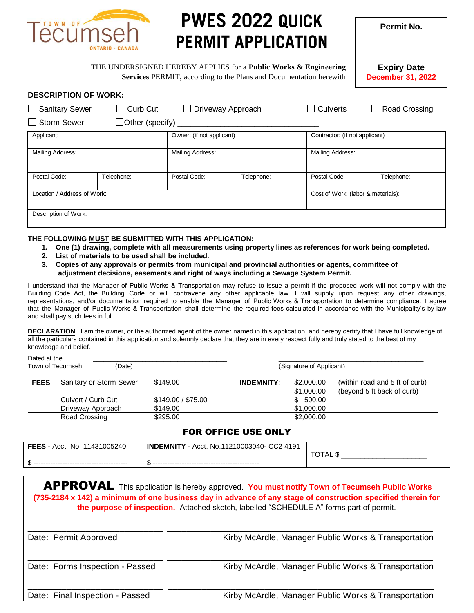

# **PWES 2022 QUICK PERMIT APPLICATION**

**Expiry Date December 31, 2022**

**Permit No.**

THE UNDERSIGNED HEREBY APPLIES for a **Public Works & Engineering Services** PERMIT, according to the Plans and Documentation herewith

| <b>DESCRIPTION OF WORK:</b> |  |
|-----------------------------|--|
|-----------------------------|--|

| Sanitary Sewer                          | Curb Cut   | Driveway Approach         |                                   | <b>Culverts</b>  | $\Box$ Road Crossing           |  |
|-----------------------------------------|------------|---------------------------|-----------------------------------|------------------|--------------------------------|--|
| Storm Sewer<br>$\Box$ Other (specify) _ |            |                           |                                   |                  |                                |  |
| Applicant:                              |            | Owner: (if not applicant) |                                   |                  | Contractor: (if not applicant) |  |
| Mailing Address:                        |            | Mailing Address:          |                                   | Mailing Address: |                                |  |
| Postal Code:                            | Telephone: | Postal Code:              | Telephone:                        | Postal Code:     | Telephone:                     |  |
| Location / Address of Work:             |            |                           | Cost of Work (labor & materials): |                  |                                |  |
| Description of Work:                    |            |                           |                                   |                  |                                |  |

#### **THE FOLLOWING MUST BE SUBMITTED WITH THIS APPLICATION:**

- **1. One (1) drawing, complete with all measurements using property lines as references for work being completed.**
- **2. List of materials to be used shall be included.**
- **3. Copies of any approvals or permits from municipal and provincial authorities or agents, committee of adjustment decisions, easements and right of ways including a Sewage System Permit.**

I understand that the Manager of Public Works & Transportation may refuse to issue a permit if the proposed work will not comply with the Building Code Act, the Building Code or will contravene any other applicable law. I will supply upon request any other drawings, representations, and/or documentation required to enable the Manager of Public Works & Transportation to determine compliance. I agree that the Manager of Public Works & Transportation shall determine the required fees calculated in accordance with the Municipality's by-law and shall pay such fees in full.

**DECLARATION** I am the owner, or the authorized agent of the owner named in this application, and hereby certify that I have full knowledge of all the particulars contained in this application and solemnly declare that they are in every respect fully and truly stated to the best of my knowledge and belief.

Dated at the  $\overline{\phantom{a}}$ Town of Tecumseh (Date) (Signature of Applicant)

**FEES**: Sanitary or Storm Sewer \$149.00 **INDEMNITY**: \$2,000.00 (within road and 5 ft of curb) \$1,000.00 (beyond 5 ft back of curb) Culvert / Curb Cut \$149.00 / \$75.00 \$ 500.00 Driveway Approach \$149.00 \$1,000.00 Road Crossing \$295.00 \$295.00 \$2,000.00

#### FOR OFFICE USE ONLY

| <b>FEES</b><br>11431005240<br>Acct. No. | .11210003040- CC2 4191<br><b>INDEMNITY</b><br>No.<br>Acct. | $\Delta$<br>∼∼<br>◡ |
|-----------------------------------------|------------------------------------------------------------|---------------------|
| ₼<br>$\overline{1}$                     |                                                            |                     |

| APPROVAL This application is hereby approved. You must notify Town of Tecumseh Public Works<br>(735-2184 x 142) a minimum of one business day in advance of any stage of construction specified therein for<br>the purpose of inspection. Attached sketch, labelled "SCHEDULE A" forms part of permit. |                                                      |  |  |  |
|--------------------------------------------------------------------------------------------------------------------------------------------------------------------------------------------------------------------------------------------------------------------------------------------------------|------------------------------------------------------|--|--|--|
| Date: Permit Approved                                                                                                                                                                                                                                                                                  | Kirby McArdle, Manager Public Works & Transportation |  |  |  |
| Date: Forms Inspection - Passed                                                                                                                                                                                                                                                                        | Kirby McArdle, Manager Public Works & Transportation |  |  |  |
| Date: Final Inspection - Passed                                                                                                                                                                                                                                                                        | Kirby McArdle, Manager Public Works & Transportation |  |  |  |